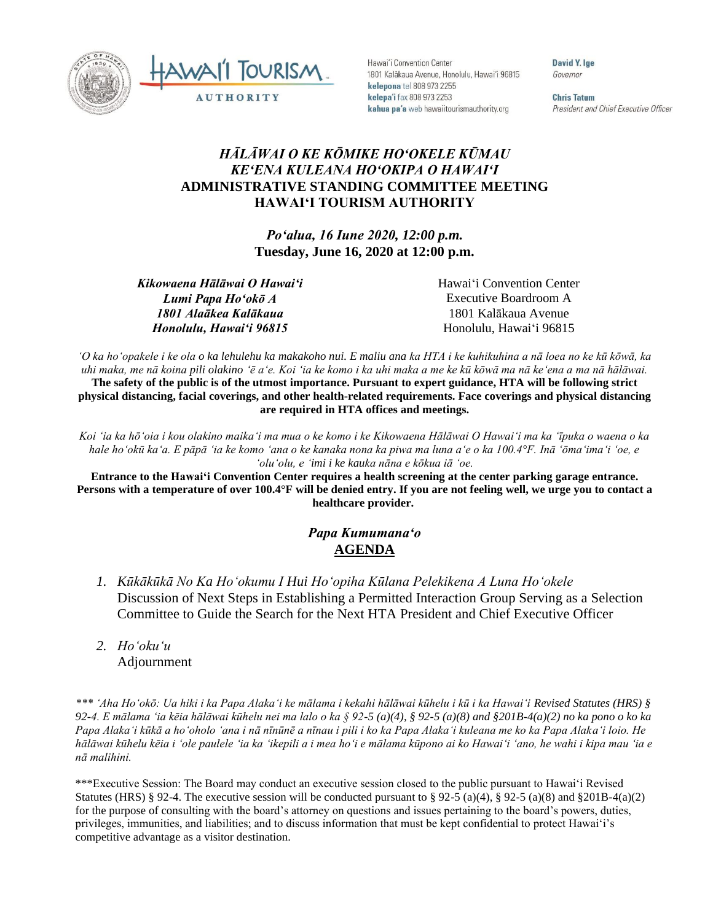



Hawai'i Convention Center 1801 Kalākaua Avenue, Honolulu, Hawai'i 96815 kelepona tel 808 973 2255 kelepa'i fax 808 973 2253 kahua pa'a web hawaiitourismauthority.org

David Y. Ige Governor

**Chris Tatum** President and Chief Executive Officer

## *HĀLĀWAI O KE KŌMIKE HOʻOKELE KŪMAU KEʻENA KULEANA HOʻOKIPA O HAWAIʻI* **ADMINISTRATIVE STANDING COMMITTEE MEETING HAWAI'I TOURISM AUTHORITY**

*Poʻalua, 16 Iune 2020, 12:00 p.m.* **Tuesday, June 16, 2020 at 12:00 p.m.**

*Kikowaena Hālāwai O Hawaiʻi Lumi Papa Hoʻokō A 1801 Alaākea Kalākaua Honolulu, Hawaiʻi 96815*

Hawaiʻi Convention Center Executive Boardroom A 1801 Kalākaua Avenue Honolulu, Hawaiʻi 96815

*ʻO ka hoʻopakele i ke ola o ka lehulehu ka makakoho nui. E maliu ana ka HTA i ke kuhikuhina a nā loea no ke kū kōwā, ka uhi maka, me nā koina pili olakino ʻē aʻe. Koi ʻia ke komo i ka uhi maka a me ke kū kōwā ma nā keʻena a ma nā hālāwai.* The safety of the public is of the utmost importance. Pursuant to expert guidance, HTA will be following strict **physical distancing, facial coverings, and other health-related requirements. Face coverings and physical distancing are required in HTA offices and meetings.**

*Koi ʻia ka hōʻoia i kou olakino maikaʻi ma mua o ke komo i ke Kikowaena Hālāwai O Hawaiʻi ma ka ʻīpuka o waena o ka hale hoʻokū kaʻa. E pāpā ʻia ke komo ʻana o ke kanaka nona ka piwa ma luna aʻe o ka 100.4°F. Inā ʻōmaʻimaʻi ʻoe, e ʻoluʻolu, e ʻimi i ke kauka nāna e kōkua iā ʻoe.*

**Entrance to the Hawaiʻi Convention Center requires a health screening at the center parking garage entrance.** Persons with a temperature of over 100.4°F will be denied entry. If you are not feeling well, we urge you to contact a **healthcare provider.**

## *Papa Kumumanaʻo* **AGENDA**

- *1. Kūkākūkā No Ka Hoʻokumu I Hui Hoʻopiha Kūlana Pelekikena A Luna Hoʻokele* Discussion of Next Steps in Establishing a Permitted Interaction Group Serving as a Selection Committee to Guide the Search for the Next HTA President and Chief Executive Officer
- *2. Ho'oku'u* Adjournment

*\*\*\* ʻAha Hoʻokō: Ua hiki i ka Papa Alakaʻi ke mālama i kekahi hālāwai kūhelu i kū i ka Hawaiʻi Revised Statutes (HRS) § 92-4. E mālama ʻia kēia hālāwai kūhelu nei ma lalo o ka § 92-5 (a)(4), § 92-5 (a)(8) and §201B-4(a)(2) no ka pono o ko ka Papa Alakaʻi kūkā a hoʻoholo ʻana i nā nīnūnē a nīnau i pili i ko ka Papa Alakaʻi kuleana me ko ka Papa Alakaʻi loio. He hālāwai kūhelu kēia i ʻole paulele ʻia ka ʻikepili a i mea hoʻi e mālama kūpono ai ko Hawaiʻi ʻano, he wahi i kipa mau ʻia e nā malihini.*

\*\*\*Executive Session: The Board may conduct an executive session closed to the public pursuant to Hawai'i Revised Statutes (HRS) § 92-4. The executive session will be conducted pursuant to § 92-5 (a)(4), § 92-5 (a)(8) and §201B-4(a)(2) for the purpose of consulting with the board's attorney on questions and issues pertaining to the board's powers, duties, privileges, immunities, and liabilities; and to discuss information that must be kept confidential to protect Hawai'i's competitive advantage as a visitor destination.